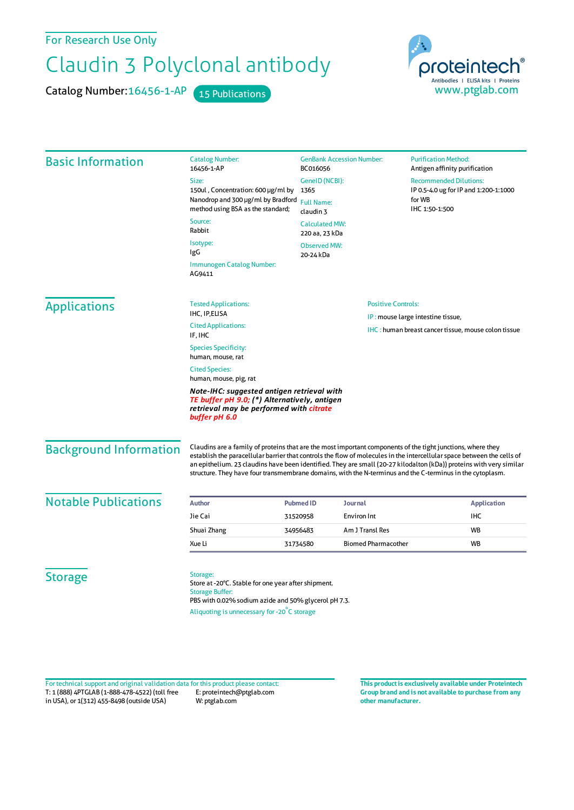For Research Use Only

## Claudin 3 Polyclonal antibody

Catalog Number: 16456-1-AP 15 Publications



| <b>Basic Information</b>      | <b>Catalog Number:</b><br>16456-1-AP                                                                                                                                                                                                                                                                                                                                                                                                                                      | BC016056                                                                          | <b>GenBank Accession Number:</b> |                                                                   | <b>Purification Method:</b><br>Antigen affinity purification |
|-------------------------------|---------------------------------------------------------------------------------------------------------------------------------------------------------------------------------------------------------------------------------------------------------------------------------------------------------------------------------------------------------------------------------------------------------------------------------------------------------------------------|-----------------------------------------------------------------------------------|----------------------------------|-------------------------------------------------------------------|--------------------------------------------------------------|
|                               | Size:                                                                                                                                                                                                                                                                                                                                                                                                                                                                     | GenelD (NCBI):                                                                    |                                  | <b>Recommended Dilutions:</b>                                     |                                                              |
|                               | 150ul, Concentration: 600 µg/ml by                                                                                                                                                                                                                                                                                                                                                                                                                                        | 1365<br><b>Full Name:</b><br>claudin 3<br><b>Calculated MW:</b><br>220 aa, 23 kDa |                                  | IP 0.5-4.0 ug for IP and 1:200-1:1000<br>for WB<br>IHC 1:50-1:500 |                                                              |
|                               | Nanodrop and 300 µg/ml by Bradford<br>method using BSA as the standard;                                                                                                                                                                                                                                                                                                                                                                                                   |                                                                                   |                                  |                                                                   |                                                              |
|                               | Source:<br>Rabbit                                                                                                                                                                                                                                                                                                                                                                                                                                                         |                                                                                   |                                  |                                                                   |                                                              |
|                               | Isotype:                                                                                                                                                                                                                                                                                                                                                                                                                                                                  | <b>Observed MW:</b>                                                               |                                  |                                                                   |                                                              |
|                               | IgG                                                                                                                                                                                                                                                                                                                                                                                                                                                                       | 20-24 kDa                                                                         |                                  |                                                                   |                                                              |
|                               | Immunogen Catalog Number:<br>AG9411                                                                                                                                                                                                                                                                                                                                                                                                                                       |                                                                                   |                                  |                                                                   |                                                              |
| <b>Applications</b>           | <b>Tested Applications:</b>                                                                                                                                                                                                                                                                                                                                                                                                                                               |                                                                                   | <b>Positive Controls:</b>        |                                                                   |                                                              |
|                               | IHC, IP, ELISA                                                                                                                                                                                                                                                                                                                                                                                                                                                            |                                                                                   |                                  | IP: mouse large intestine tissue,                                 |                                                              |
|                               | <b>Cited Applications:</b><br>IF, IHC                                                                                                                                                                                                                                                                                                                                                                                                                                     |                                                                                   |                                  | <b>IHC</b> : human breast cancer tissue, mouse colon tissue       |                                                              |
|                               | <b>Species Specificity:</b><br>human, mouse, rat                                                                                                                                                                                                                                                                                                                                                                                                                          |                                                                                   |                                  |                                                                   |                                                              |
|                               | <b>Cited Species:</b><br>human, mouse, pig, rat                                                                                                                                                                                                                                                                                                                                                                                                                           |                                                                                   |                                  |                                                                   |                                                              |
|                               | Note-IHC: suggested antigen retrieval with<br>TE buffer pH 9.0; (*) Alternatively, antigen<br>retrieval may be performed with citrate<br>buffer pH 6.0                                                                                                                                                                                                                                                                                                                    |                                                                                   |                                  |                                                                   |                                                              |
| <b>Background Information</b> | Claudins are a family of proteins that are the most important components of the tight junctions, where they<br>establish the paracellular barrier that controls the flow of molecules in the intercellular space between the cells of<br>an epithelium. 23 claudins have been identified. They are small (20-27 kilodalton (kDa)) proteins with very similar<br>structure. They have four transmembrane domains, with the N-terminus and the C-terminus in the cytoplasm. |                                                                                   |                                  |                                                                   |                                                              |
| <b>Notable Publications</b>   | <b>Author</b>                                                                                                                                                                                                                                                                                                                                                                                                                                                             | <b>Pubmed ID</b><br><b>Journal</b>                                                |                                  |                                                                   | <b>Application</b>                                           |
|                               | Jie Cai                                                                                                                                                                                                                                                                                                                                                                                                                                                                   | Environ Int<br>31520958                                                           |                                  |                                                                   | <b>IHC</b>                                                   |
|                               | Shuai Zhang                                                                                                                                                                                                                                                                                                                                                                                                                                                               | 34956483                                                                          | Am J Transl Res                  |                                                                   | <b>WB</b>                                                    |
|                               | Xue Li                                                                                                                                                                                                                                                                                                                                                                                                                                                                    | 31734580                                                                          | <b>Biomed Pharmacother</b>       |                                                                   | WB                                                           |
| <b>Storage</b>                | Storage:<br>Store at -20°C. Stable for one year after shipment.<br><b>Storage Buffer:</b><br>PBS with 0.02% sodium azide and 50% glycerol pH 7.3.<br>Aliquoting is unnecessary for -20°C storage                                                                                                                                                                                                                                                                          |                                                                                   |                                  |                                                                   |                                                              |

T: 1 (888) 4PTGLAB (1-888-478-4522) (toll free in USA), or 1(312) 455-8498 (outside USA) E: proteintech@ptglab.com W: ptglab.com Fortechnical support and original validation data forthis product please contact: **This productis exclusively available under Proteintech**

**Group brand and is not available to purchase from any other manufacturer.**